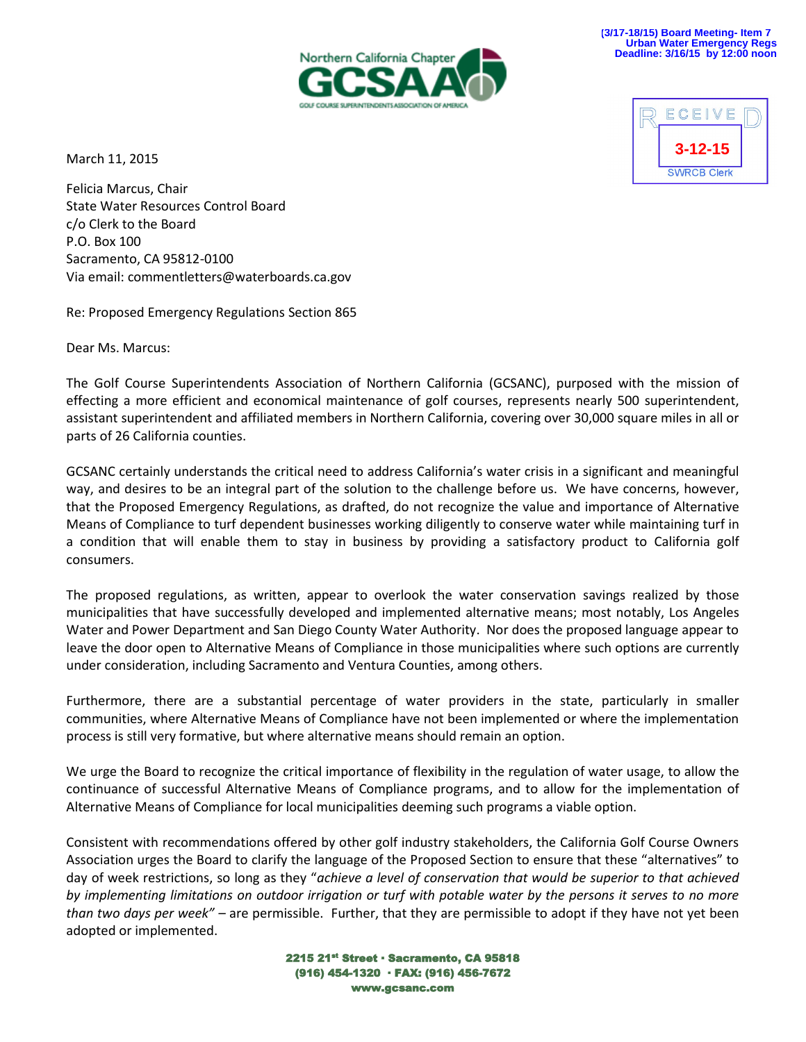

March 11, 2015



Felicia Marcus, Chair State Water Resources Control Board c/o Clerk to the Board P.O. Box 100 Sacramento, CA 95812-0100 Via email: commentletters@waterboards.ca.gov

Re: Proposed Emergency Regulations Section 865

Dear Ms. Marcus:

The Golf Course Superintendents Association of Northern California (GCSANC), purposed with the mission of effecting a more efficient and economical maintenance of golf courses, represents nearly 500 superintendent, assistant superintendent and affiliated members in Northern California, covering over 30,000 square miles in all or parts of 26 California counties.

GCSANC certainly understands the critical need to address California's water crisis in a significant and meaningful way, and desires to be an integral part of the solution to the challenge before us. We have concerns, however, that the Proposed Emergency Regulations, as drafted, do not recognize the value and importance of Alternative Means of Compliance to turf dependent businesses working diligently to conserve water while maintaining turf in a condition that will enable them to stay in business by providing a satisfactory product to California golf consumers.

The proposed regulations, as written, appear to overlook the water conservation savings realized by those municipalities that have successfully developed and implemented alternative means; most notably, Los Angeles Water and Power Department and San Diego County Water Authority. Nor does the proposed language appear to leave the door open to Alternative Means of Compliance in those municipalities where such options are currently under consideration, including Sacramento and Ventura Counties, among others.

Furthermore, there are a substantial percentage of water providers in the state, particularly in smaller communities, where Alternative Means of Compliance have not been implemented or where the implementation process is still very formative, but where alternative means should remain an option.

We urge the Board to recognize the critical importance of flexibility in the regulation of water usage, to allow the continuance of successful Alternative Means of Compliance programs, and to allow for the implementation of Alternative Means of Compliance for local municipalities deeming such programs a viable option.

Consistent with recommendations offered by other golf industry stakeholders, the California Golf Course Owners Association urges the Board to clarify the language of the Proposed Section to ensure that these "alternatives" to day of week restrictions, so long as they "*achieve a level of conservation that would be superior to that achieved by implementing limitations on outdoor irrigation or turf with potable water by the persons it serves to no more than two days per week" –* are permissible. Further, that they are permissible to adopt if they have not yet been adopted or implemented.

> 2215 21st Street · Sacramento, CA 95818 (916) 454-1320 · FAX: (916) 456-7672 www.gcsanc.com